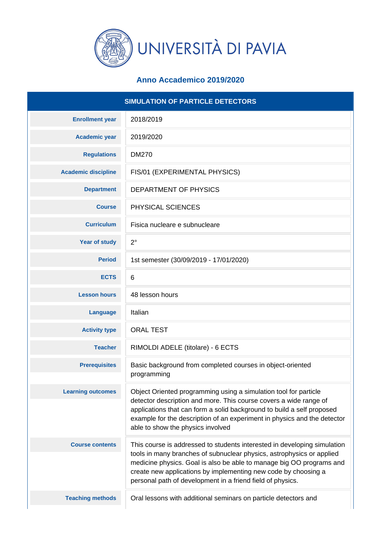

## **Anno Accademico 2019/2020**

| <b>SIMULATION OF PARTICLE DETECTORS</b> |                                                                                                                                                                                                                                                                                                                                  |
|-----------------------------------------|----------------------------------------------------------------------------------------------------------------------------------------------------------------------------------------------------------------------------------------------------------------------------------------------------------------------------------|
| <b>Enrollment year</b>                  | 2018/2019                                                                                                                                                                                                                                                                                                                        |
| <b>Academic year</b>                    | 2019/2020                                                                                                                                                                                                                                                                                                                        |
| <b>Regulations</b>                      | <b>DM270</b>                                                                                                                                                                                                                                                                                                                     |
| <b>Academic discipline</b>              | FIS/01 (EXPERIMENTAL PHYSICS)                                                                                                                                                                                                                                                                                                    |
| <b>Department</b>                       | DEPARTMENT OF PHYSICS                                                                                                                                                                                                                                                                                                            |
| <b>Course</b>                           | PHYSICAL SCIENCES                                                                                                                                                                                                                                                                                                                |
| <b>Curriculum</b>                       | Fisica nucleare e subnucleare                                                                                                                                                                                                                                                                                                    |
| <b>Year of study</b>                    | $2^{\circ}$                                                                                                                                                                                                                                                                                                                      |
| <b>Period</b>                           | 1st semester (30/09/2019 - 17/01/2020)                                                                                                                                                                                                                                                                                           |
| <b>ECTS</b>                             | 6                                                                                                                                                                                                                                                                                                                                |
| <b>Lesson hours</b>                     | 48 lesson hours                                                                                                                                                                                                                                                                                                                  |
| <b>Language</b>                         | Italian                                                                                                                                                                                                                                                                                                                          |
| <b>Activity type</b>                    | <b>ORAL TEST</b>                                                                                                                                                                                                                                                                                                                 |
| <b>Teacher</b>                          | RIMOLDI ADELE (titolare) - 6 ECTS                                                                                                                                                                                                                                                                                                |
| <b>Prerequisites</b>                    | Basic background from completed courses in object-oriented<br>programming                                                                                                                                                                                                                                                        |
| <b>Learning outcomes</b>                | Object Oriented programming using a simulation tool for particle<br>detector description and more. This course covers a wide range of<br>applications that can form a solid background to build a self proposed<br>example for the description of an experiment in physics and the detector<br>able to show the physics involved |
| <b>Course contents</b>                  | This course is addressed to students interested in developing simulation                                                                                                                                                                                                                                                         |
|                                         | tools in many branches of subnuclear physics, astrophysics or applied<br>medicine physics. Goal is also be able to manage big OO programs and<br>create new applications by implementing new code by choosing a<br>personal path of development in a friend field of physics.                                                    |
| <b>Teaching methods</b>                 | Oral lessons with additional seminars on particle detectors and                                                                                                                                                                                                                                                                  |